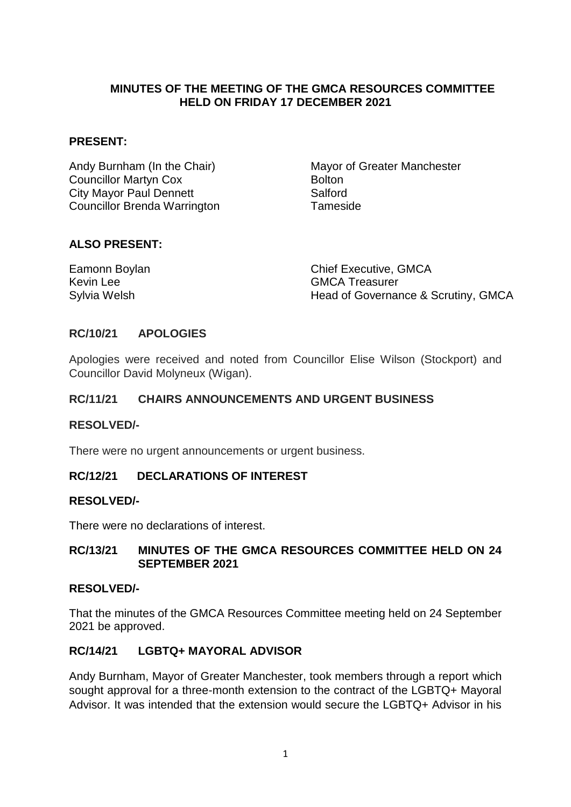### **MINUTES OF THE MEETING OF THE GMCA RESOURCES COMMITTEE HELD ON FRIDAY 17 DECEMBER 2021**

#### **PRESENT:**

Andy Burnham (In the Chair) Mayor of Greater Manchester **Councillor Martyn Cox** Bolton City Mayor Paul Dennett Salford Councillor Brenda Warrington Tameside

#### **ALSO PRESENT:**

| Eamonn Boylan | <b>Chief Executive, GMCA</b>        |
|---------------|-------------------------------------|
| Kevin Lee     | <b>GMCA Treasurer</b>               |
| Sylvia Welsh  | Head of Governance & Scrutiny, GMCA |

#### **RC/10/21 APOLOGIES**

Apologies were received and noted from Councillor Elise Wilson (Stockport) and Councillor David Molyneux (Wigan).

## **RC/11/21 CHAIRS ANNOUNCEMENTS AND URGENT BUSINESS**

#### **RESOLVED/-**

There were no urgent announcements or urgent business.

#### **RC/12/21 DECLARATIONS OF INTEREST**

#### **RESOLVED/-**

There were no declarations of interest.

#### **RC/13/21 MINUTES OF THE GMCA RESOURCES COMMITTEE HELD ON 24 SEPTEMBER 2021**

#### **RESOLVED/-**

That the minutes of the GMCA Resources Committee meeting held on 24 September 2021 be approved.

### **RC/14/21 LGBTQ+ MAYORAL ADVISOR**

Andy Burnham, Mayor of Greater Manchester, took members through a report which sought approval for a three-month extension to the contract of the LGBTQ+ Mayoral Advisor. It was intended that the extension would secure the LGBTQ+ Advisor in his